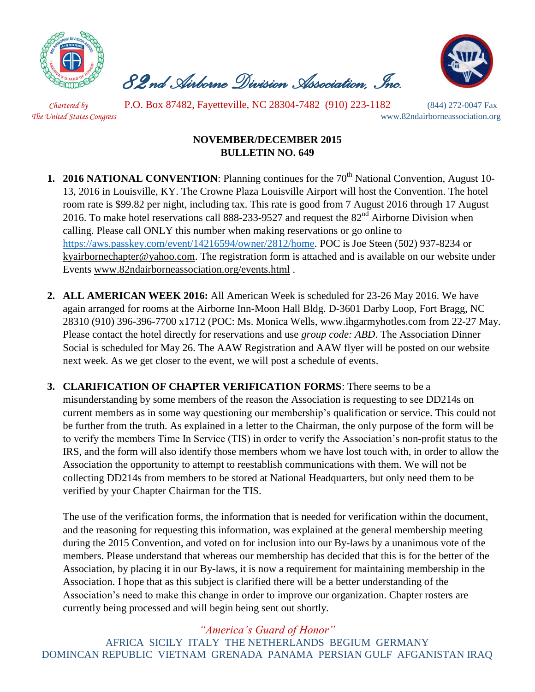

 *82nd Airborne Division Association, Inc.* 



 *Chartered by* P.O. Box 87482, Fayetteville, NC 28304-7482 (910) 223-1182 (844) 272-0047 Fax *The United States Congress* www.82ndairborneassociation.org

## **NOVEMBER/DECEMBER 2015 BULLETIN NO. 649**

- **1. 2016 NATIONAL CONVENTION:** Planning continues for the 70<sup>th</sup> National Convention, August 10-13, 2016 in Louisville, KY. The Crowne Plaza Louisville Airport will host the Convention. The hotel room rate is \$99.82 per night, including tax. This rate is good from 7 August 2016 through 17 August 2016. To make hotel reservations call 888-233-9527 and request the 82<sup>nd</sup> Airborne Division when calling. Please call ONLY this number when making reservations or go online to [https://aws.passkey.com/event/14216594/owner/2812/home.](https://aws.passkey.com/event/14216594/owner/2812/home) POC is Joe Steen (502) 937-8234 or [kyairbornechapter@yahoo.com.](mailto:kyairbornechapter@yahoo.com) The registration form is attached and is available on our website under Events [www.82ndairborneassociation.org/events.html](http://www.82ndairborneassociation.org/events.html) .
- **2. ALL AMERICAN WEEK 2016:** All American Week is scheduled for 23-26 May 2016. We have again arranged for rooms at the Airborne Inn-Moon Hall Bldg. D-3601 Darby Loop, Fort Bragg, NC 28310 (910) 396-396-7700 x1712 (POC: Ms. Monica Wells, www.ihgarmyhotles.com from 22-27 May. Please contact the hotel directly for reservations and use *group code: ABD*. The Association Dinner Social is scheduled for May 26. The AAW Registration and AAW flyer will be posted on our website next week. As we get closer to the event, we will post a schedule of events.
- **3. CLARIFICATION OF CHAPTER VERIFICATION FORMS**: There seems to be a misunderstanding by some members of the reason the Association is requesting to see DD214s on current members as in some way questioning our membership's qualification or service. This could not be further from the truth. As explained in a letter to the Chairman, the only purpose of the form will be to verify the members Time In Service (TIS) in order to verify the Association's non-profit status to the IRS, and the form will also identify those members whom we have lost touch with, in order to allow the Association the opportunity to attempt to reestablish communications with them. We will not be collecting DD214s from members to be stored at National Headquarters, but only need them to be verified by your Chapter Chairman for the TIS.

The use of the verification forms, the information that is needed for verification within the document, and the reasoning for requesting this information, was explained at the general membership meeting during the 2015 Convention, and voted on for inclusion into our By-laws by a unanimous vote of the members. Please understand that whereas our membership has decided that this is for the better of the Association, by placing it in our By-laws, it is now a requirement for maintaining membership in the Association. I hope that as this subject is clarified there will be a better understanding of the Association's need to make this change in order to improve our organization. Chapter rosters are currently being processed and will begin being sent out shortly.

## *"America's Guard of Honor"*

AFRICA SICILY ITALY THE NETHERLANDS BEGIUM GERMANY DOMINCAN REPUBLIC VIETNAM GRENADA PANAMA PERSIAN GULF AFGANISTAN IRAQ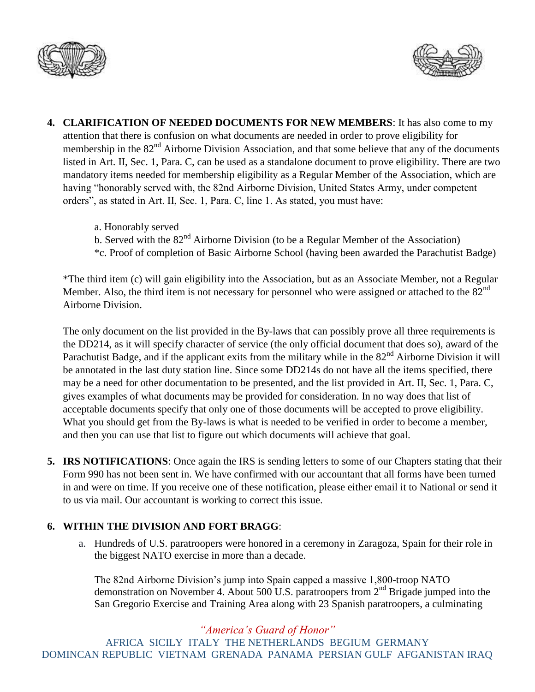



- **4. CLARIFICATION OF NEEDED DOCUMENTS FOR NEW MEMBERS**: It has also come to my attention that there is confusion on what documents are needed in order to prove eligibility for membership in the 82<sup>nd</sup> Airborne Division Association, and that some believe that any of the documents listed in Art. II, Sec. 1, Para. C, can be used as a standalone document to prove eligibility. There are two mandatory items needed for membership eligibility as a Regular Member of the Association, which are having "honorably served with, the 82nd Airborne Division, United States Army, under competent orders", as stated in Art. II, Sec. 1, Para. C, line 1. As stated, you must have:
	- a. Honorably served
	- b. Served with the  $82<sup>nd</sup>$  Airborne Division (to be a Regular Member of the Association)
	- \*c. Proof of completion of Basic Airborne School (having been awarded the Parachutist Badge)

\*The third item (c) will gain eligibility into the Association, but as an Associate Member, not a Regular Member. Also, the third item is not necessary for personnel who were assigned or attached to the  $82<sup>nd</sup>$ Airborne Division.

The only document on the list provided in the By-laws that can possibly prove all three requirements is the DD214, as it will specify character of service (the only official document that does so), award of the Parachutist Badge, and if the applicant exits from the military while in the 82<sup>nd</sup> Airborne Division it will be annotated in the last duty station line. Since some DD214s do not have all the items specified, there may be a need for other documentation to be presented, and the list provided in Art. II, Sec. 1, Para. C, gives examples of what documents may be provided for consideration. In no way does that list of acceptable documents specify that only one of those documents will be accepted to prove eligibility. What you should get from the By-laws is what is needed to be verified in order to become a member, and then you can use that list to figure out which documents will achieve that goal.

**5. IRS NOTIFICATIONS**: Once again the IRS is sending letters to some of our Chapters stating that their Form 990 has not been sent in. We have confirmed with our accountant that all forms have been turned in and were on time. If you receive one of these notification, please either email it to National or send it to us via mail. Our accountant is working to correct this issue.

## **6. WITHIN THE DIVISION AND FORT BRAGG**:

a. Hundreds of U.S. paratroopers were honored in a ceremony in Zaragoza, Spain for their role in the biggest NATO exercise in more than a decade.

The 82nd Airborne Division's jump into Spain capped a massive 1,800-troop NATO demonstration on November 4. About 500 U.S. paratroopers from  $2<sup>nd</sup>$  Brigade jumped into the San Gregorio Exercise and Training Area along with 23 Spanish paratroopers, a culminating

*"America's Guard of Honor"*

AFRICA SICILY ITALY THE NETHERLANDS BEGIUM GERMANY DOMINCAN REPUBLIC VIETNAM GRENADA PANAMA PERSIAN GULF AFGANISTAN IRAQ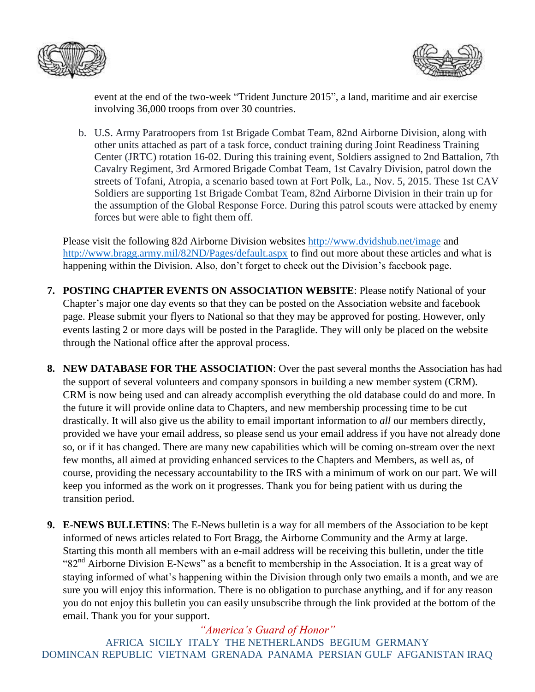



event at the end of the two-week "Trident Juncture 2015", a land, maritime and air exercise involving 36,000 troops from over 30 countries.

b. U.S. Army Paratroopers from 1st Brigade Combat Team, 82nd Airborne Division, along with other units attached as part of a task force, conduct training during Joint Readiness Training Center (JRTC) rotation 16-02. During this training event, Soldiers assigned to 2nd Battalion, 7th Cavalry Regiment, 3rd Armored Brigade Combat Team, 1st Cavalry Division, patrol down the streets of Tofani, Atropia, a scenario based town at Fort Polk, La., Nov. 5, 2015. These 1st CAV Soldiers are supporting 1st Brigade Combat Team, 82nd Airborne Division in their train up for the assumption of the Global Response Force. During this patrol scouts were attacked by enemy forces but were able to fight them off.

Please visit the following 82d Airborne Division websites<http://www.dvidshub.net/image> and <http://www.bragg.army.mil/82ND/Pages/default.aspx> to find out more about these articles and what is happening within the Division. Also, don't forget to check out the Division's facebook page.

- **7. POSTING CHAPTER EVENTS ON ASSOCIATION WEBSITE**: Please notify National of your Chapter's major one day events so that they can be posted on the Association website and facebook page. Please submit your flyers to National so that they may be approved for posting. However, only events lasting 2 or more days will be posted in the Paraglide. They will only be placed on the website through the National office after the approval process.
- **8. NEW DATABASE FOR THE ASSOCIATION**: Over the past several months the Association has had the support of several volunteers and company sponsors in building a new member system (CRM). CRM is now being used and can already accomplish everything the old database could do and more. In the future it will provide online data to Chapters, and new membership processing time to be cut drastically. It will also give us the ability to email important information to *all* our members directly, provided we have your email address, so please send us your email address if you have not already done so, or if it has changed. There are many new capabilities which will be coming on-stream over the next few months, all aimed at providing enhanced services to the Chapters and Members, as well as, of course, providing the necessary accountability to the IRS with a minimum of work on our part. We will keep you informed as the work on it progresses. Thank you for being patient with us during the transition period.
- **9. E-NEWS BULLETINS**: The E-News bulletin is a way for all members of the Association to be kept informed of news articles related to Fort Bragg, the Airborne Community and the Army at large. Starting this month all members with an e-mail address will be receiving this bulletin, under the title "82<sup>nd</sup> Airborne Division E-News" as a benefit to membership in the Association. It is a great way of staying informed of what's happening within the Division through only two emails a month, and we are sure you will enjoy this information. There is no obligation to purchase anything, and if for any reason you do not enjoy this bulletin you can easily unsubscribe through the link provided at the bottom of the email. Thank you for your support.

*"America's Guard of Honor"* AFRICA SICILY ITALY THE NETHERLANDS BEGIUM GERMANY DOMINCAN REPUBLIC VIETNAM GRENADA PANAMA PERSIAN GULF AFGANISTAN IRAQ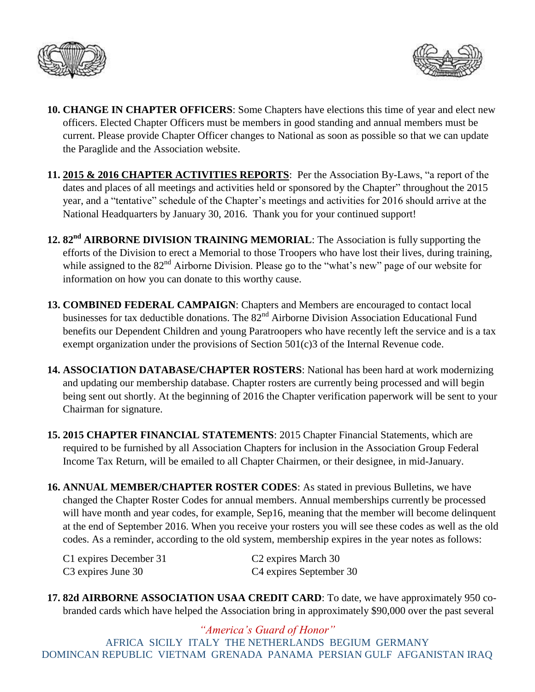



- **10. CHANGE IN CHAPTER OFFICERS**: Some Chapters have elections this time of year and elect new officers. Elected Chapter Officers must be members in good standing and annual members must be current. Please provide Chapter Officer changes to National as soon as possible so that we can update the Paraglide and the Association website.
- **11. 2015 & 2016 CHAPTER ACTIVITIES REPORTS**: Per the Association By-Laws, "a report of the dates and places of all meetings and activities held or sponsored by the Chapter" throughout the 2015 year, and a "tentative" schedule of the Chapter's meetings and activities for 2016 should arrive at the National Headquarters by January 30, 2016. Thank you for your continued support!
- **12. 82nd AIRBORNE DIVISION TRAINING MEMORIAL**: The Association is fully supporting the efforts of the Division to erect a Memorial to those Troopers who have lost their lives, during training, while assigned to the 82<sup>nd</sup> Airborne Division. Please go to the "what's new" page of our website for information on how you can donate to this worthy cause.
- **13. COMBINED FEDERAL CAMPAIGN**: Chapters and Members are encouraged to contact local businesses for tax deductible donations. The 82<sup>nd</sup> Airborne Division Association Educational Fund benefits our Dependent Children and young Paratroopers who have recently left the service and is a tax exempt organization under the provisions of Section 501(c)3 of the Internal Revenue code.
- **14. ASSOCIATION DATABASE/CHAPTER ROSTERS**: National has been hard at work modernizing and updating our membership database. Chapter rosters are currently being processed and will begin being sent out shortly. At the beginning of 2016 the Chapter verification paperwork will be sent to your Chairman for signature.
- **15. 2015 CHAPTER FINANCIAL STATEMENTS**: 2015 Chapter Financial Statements, which are required to be furnished by all Association Chapters for inclusion in the Association Group Federal Income Tax Return, will be emailed to all Chapter Chairmen, or their designee, in mid-January.
- **16. ANNUAL MEMBER/CHAPTER ROSTER CODES**: As stated in previous Bulletins, we have changed the Chapter Roster Codes for annual members. Annual memberships currently be processed will have month and year codes, for example, Sep16, meaning that the member will become delinquent at the end of September 2016. When you receive your rosters you will see these codes as well as the old codes. As a reminder, according to the old system, membership expires in the year notes as follows:

| C1 expires December 31         | C <sub>2</sub> expires March 30     |
|--------------------------------|-------------------------------------|
| C <sub>3</sub> expires June 30 | C <sub>4</sub> expires September 30 |

**17. 82d AIRBORNE ASSOCIATION USAA CREDIT CARD**: To date, we have approximately 950 cobranded cards which have helped the Association bring in approximately \$90,000 over the past several

*"America's Guard of Honor"* AFRICA SICILY ITALY THE NETHERLANDS BEGIUM GERMANY DOMINCAN REPUBLIC VIETNAM GRENADA PANAMA PERSIAN GULF AFGANISTAN IRAQ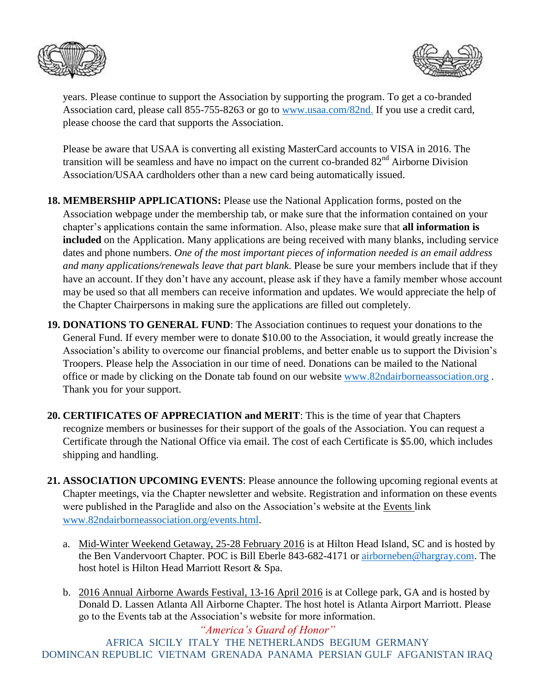



years. Please continue to support the Association by supporting the program. To get a co-branded Association card, please call 855-755-8263 or go to [www.usaa.com/82nd.](http://www.usaa.com/82nd) If you use a credit card, please choose the card that supports the Association.

Please be aware that USAA is converting all existing MasterCard accounts to VISA in 2016. The transition will be seamless and have no impact on the current co-branded 82<sup>nd</sup> Airborne Division Association/USAA cardholders other than a new card being automatically issued.

- **18. MEMBERSHIP APPLICATIONS:** Please use the National Application forms, posted on the Association webpage under the membership tab, or make sure that the information contained on your chapter's applications contain the same information. Also, please make sure that **all information is included** on the Application. Many applications are being received with many blanks, including service dates and phone numbers. *One of the most important pieces of information needed is an email address and many applications/renewals leave that part blank*. Please be sure your members include that if they have an account. If they don't have any account, please ask if they have a family member whose account may be used so that all members can receive information and updates. We would appreciate the help of the Chapter Chairpersons in making sure the applications are filled out completely.
- **19. DONATIONS TO GENERAL FUND**: The Association continues to request your donations to the General Fund. If every member were to donate \$10.00 to the Association, it would greatly increase the Association's ability to overcome our financial problems, and better enable us to support the Division's Troopers. Please help the Association in our time of need. Donations can be mailed to the National office or made by clicking on the Donate tab found on our website [www.82ndairborneassociation.org](http://www.82ndairborneassociation.org/). Thank you for your support.
- **20. CERTIFICATES OF APPRECIATION and MERIT**: This is the time of year that Chapters recognize members or businesses for their support of the goals of the Association. You can request a Certificate through the National Office via email. The cost of each Certificate is \$5.00, which includes shipping and handling.
- **21. ASSOCIATION UPCOMING EVENTS**: Please announce the following upcoming regional events at Chapter meetings, via the Chapter newsletter and website. Registration and information on these events were published in the Paraglide and also on the Association's website at the Events link [www.82ndairborneassociation.org/events.html.](http://www.82ndairborneassociation.org/events.html)
	- a. Mid-Winter Weekend Getaway, 25-28 February 2016 is at Hilton Head Island, SC and is hosted by the Ben Vandervoort Chapter. POC is Bill Eberle 843-682-4171 or [airborneben@hargray.com.](mailto:airborneben@hargray.com) The host hotel is Hilton Head Marriott Resort & Spa.
	- b. 2016 Annual Airborne Awards Festival, 13-16 April 2016 is at College park, GA and is hosted by Donald D. Lassen Atlanta All Airborne Chapter. The host hotel is Atlanta Airport Marriott. Please go to the Events tab at the Association's website for more information.

*"America's Guard of Honor"* AFRICA SICILY ITALY THE NETHERLANDS BEGIUM GERMANY DOMINCAN REPUBLIC VIETNAM GRENADA PANAMA PERSIAN GULF AFGANISTAN IRAQ